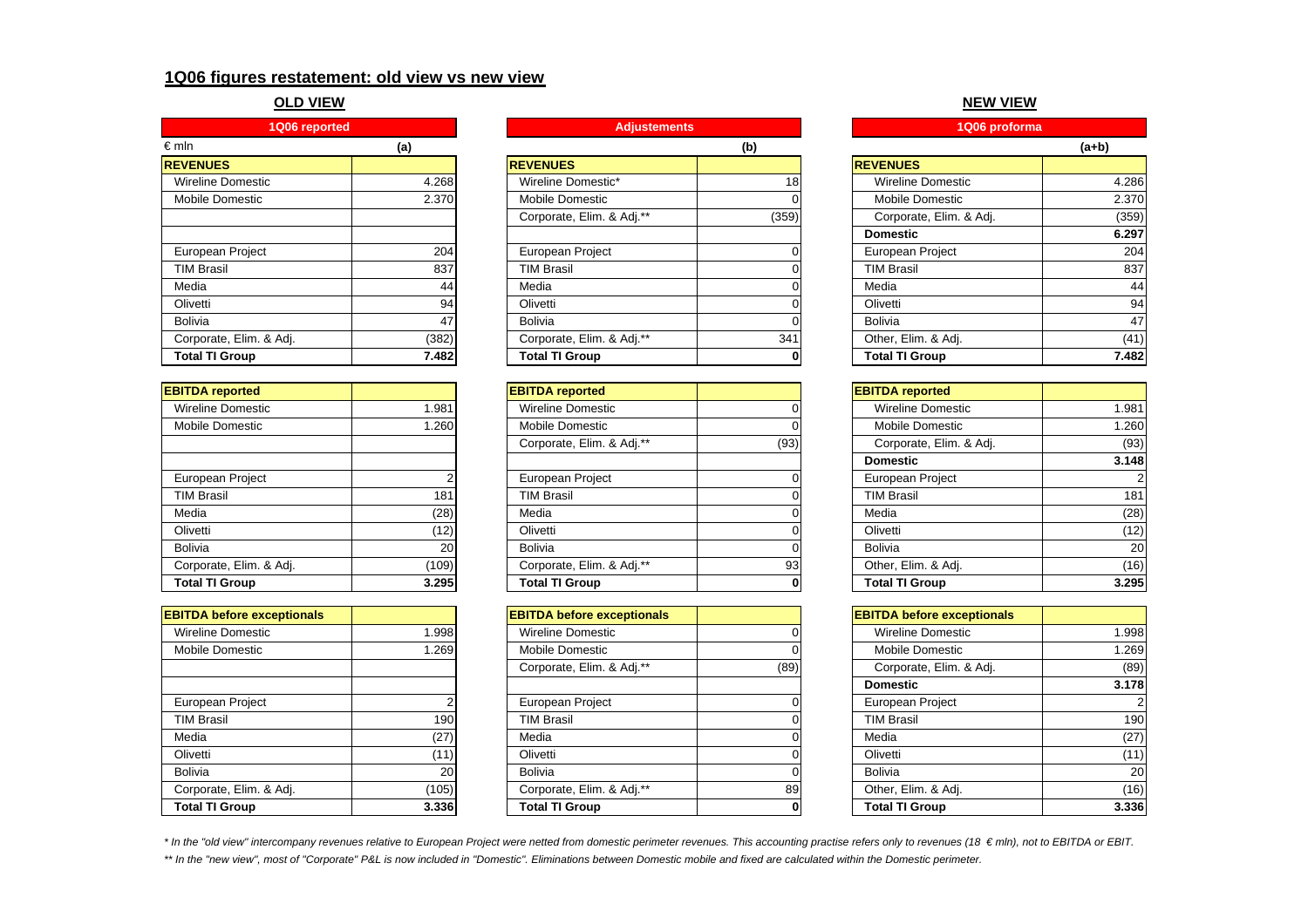# **1Q06 figures restatement: old view vs new view**

# **OLD VIEW**

| 1Q06 reported            |       | <b>Adjustements</b>       |                 | 1Q06 proforma            |         |
|--------------------------|-------|---------------------------|-----------------|--------------------------|---------|
| $\epsilon$ mln           | (a)   |                           | (b)             |                          | $(a+b)$ |
| <b>REVENUES</b>          |       | <b>REVENUES</b>           |                 | <b>REVENUES</b>          |         |
| <b>Wireline Domestic</b> | 4.268 | Wireline Domestic*        | 18 <sub>1</sub> | <b>Wireline Domestic</b> |         |
| Mobile Domestic          | 2.370 | Mobile Domestic           |                 | <b>Mobile Domestic</b>   |         |
|                          |       | Corporate, Elim. & Adj.** | (359)           | Corporate, Elim. & Adj.  |         |
|                          |       |                           |                 | <b>Domestic</b>          |         |
| European Project         | 204   | European Project          |                 | European Project         |         |
| <b>TIM Brasil</b>        | 837   | <b>TIM Brasil</b>         |                 | <b>TIM Brasil</b>        |         |
| Media                    | 44    | Media                     |                 | Media                    |         |
| Olivetti                 | 94    | Olivetti                  |                 | Olivetti                 |         |
| <b>Bolivia</b>           | 47    | <b>Bolivia</b>            |                 | Bolivia                  |         |
| Corporate, Elim. & Adj.  | (382) | Corporate, Elim. & Adj.** | 341             | Other, Elim. & Adj.      |         |
| <b>Total TI Group</b>    | 7.482 | <b>Total TI Group</b>     |                 | <b>Total TI Group</b>    |         |

| <b>EBITDA</b> reported  |       |
|-------------------------|-------|
| Wireline Domestic       | 1.981 |
| <b>Mobile Domestic</b>  | 1.260 |
|                         |       |
|                         |       |
| European Project        | 2     |
| <b>TIM Brasil</b>       | 181   |
| Media                   | (28)  |
| Olivetti                | (12)  |
| <b>Bolivia</b>          | 20    |
| Corporate, Elim. & Adj. | (109) |
| <b>Total TI Group</b>   | 3.295 |

| <b>EBITDA before exceptionals</b> |                 |
|-----------------------------------|-----------------|
| Wireline Domestic                 | 1.998           |
| <b>Mobile Domestic</b>            | 1.269           |
|                                   |                 |
|                                   |                 |
| European Project                  | 2               |
| <b>TIM Brasil</b>                 | 19 <sub>C</sub> |
| Media                             | (27)            |
| Olivetti                          | (11)            |
| Bolivia                           | 20              |
| Corporate, Elim. & Adj.           | (105)           |
| <b>Total TI Group</b>             | 3.336           |

| ешш                      | (a)   |                           | (D)   |                          | (a+v) |
|--------------------------|-------|---------------------------|-------|--------------------------|-------|
| <b>REVENUES</b>          |       | <b>REVENUES</b>           |       | <b>REVENUES</b>          |       |
| <b>Wireline Domestic</b> | 4.268 | Wireline Domestic*        | 18    | <b>Wireline Domestic</b> | 4.286 |
| Mobile Domestic          | 2.370 | <b>Mobile Domestic</b>    |       | <b>Mobile Domestic</b>   | 2.370 |
|                          |       | Corporate, Elim. & Adj.** | (359) | Corporate, Elim. & Adj.  | (359) |
|                          |       |                           |       | <b>Domestic</b>          | 6.297 |
| European Project         | 204   | European Project          |       | European Project         | 204   |
| <b>TIM Brasil</b>        | 837   | <b>TIM Brasil</b>         |       | <b>TIM Brasil</b>        | 837   |
| Media                    | 44    | Media                     |       | Media                    | 44    |
| Olivetti                 | 94    | Olivetti                  |       | Olivetti                 | 94    |
| Bolivia                  | 47    | Bolivia                   |       | Bolivia                  | 47    |
| Corporate, Elim. & Adj.  | (382) | Corporate, Elim. & Adj.** | 341   | Other, Elim. & Adj.      | (41)  |
| <b>Total TI Group</b>    | 7.482 | <b>Total TI Group</b>     |       | <b>Total TI Group</b>    | 7.482 |
|                          |       |                           |       |                          |       |

| <b>EBITDA reported</b>  |       | <b>EBITDA</b> reported    |      | <b>EBITDA</b> reported  |       |
|-------------------------|-------|---------------------------|------|-------------------------|-------|
| Wireline Domestic       | 1.981 | <b>Wireline Domestic</b>  |      | Wireline Domestic       | 1.981 |
| Mobile Domestic         | 1.260 | <b>Mobile Domestic</b>    |      | <b>Mobile Domestic</b>  | 1.260 |
|                         |       | Corporate, Elim. & Adj.** | (93) | Corporate, Elim. & Adj. | (93)  |
|                         |       |                           |      | <b>Domestic</b>         | 3.148 |
| European Project        |       | European Project          |      | European Project        |       |
| <b>TIM Brasil</b>       | 181   | <b>TIM Brasil</b>         |      | <b>TIM Brasil</b>       | 181   |
| Media                   | (28)  | Media                     |      | Media                   | (28)  |
| Olivetti                | (12)  | Olivetti                  |      | Olivetti                | (12)  |
| Bolivia                 | 20    | Bolivia                   |      | Bolivia                 | 20    |
| Corporate, Elim. & Adj. | (109) | Corporate, Elim. & Adj.** | 931  | Other, Elim. & Adj.     | (16)  |
| <b>Total TI Group</b>   | 3.295 | <b>Total TI Group</b>     |      | <b>Total TI Group</b>   | 3.295 |

| <b>EBITDA before exceptionals</b> |       | <b>EBITDA before exceptionals</b> |      | <b>EBITDA before exceptionals</b> |       |
|-----------------------------------|-------|-----------------------------------|------|-----------------------------------|-------|
| <b>Wireline Domestic</b>          | 1.998 | <b>Wireline Domestic</b>          |      | <b>Wireline Domestic</b>          | 1.998 |
| Mobile Domestic                   | 1.269 | <b>Mobile Domestic</b>            |      | Mobile Domestic                   | 1.269 |
|                                   |       | Corporate, Elim. & Adj.**         | (89) | Corporate, Elim. & Adj.           | (89)  |
|                                   |       |                                   |      | <b>Domestic</b>                   | 3.178 |
| European Project                  |       | European Project                  |      | <b>European Project</b>           |       |
| <b>TIM Brasil</b>                 | 190   | <b>TIM Brasil</b>                 |      | <b>TIM Brasil</b>                 | 190   |
| Media                             | (27)  | Media                             |      | Media                             | (27)  |
| Olivetti                          | (11)  | Olivetti                          |      | Olivetti                          | (11)  |
| Bolivia                           | 20    | <b>Bolivia</b>                    |      | Bolivia                           | 20    |
| Corporate, Elim. & Adj.           | (105) | Corporate, Elim. & Adj.**         | 89   | Other, Elim. & Adj.               | (16)  |
| <b>Total TI Group</b>             | 3.336 | <b>Total TI Group</b>             |      | <b>Total TI Group</b>             | 3.336 |

# **NEW VIEW**

| <b>Adjustements</b>       |       | 1Q06 proforma            |         |
|---------------------------|-------|--------------------------|---------|
|                           | (b)   |                          | $(a+b)$ |
| <b>EVENUES</b>            |       | <b>REVENUES</b>          |         |
| Wireline Domestic*        | 18    | <b>Wireline Domestic</b> | 4.286   |
| Mobile Domestic           | 0     | <b>Mobile Domestic</b>   | 2.370   |
| Corporate, Elim. & Adj.** | (359) | Corporate, Elim. & Adj.  | (359)   |
|                           |       | <b>Domestic</b>          | 6.297   |
| European Project          | 0     | European Project         | 204     |
| <b>TIM Brasil</b>         | 0     | <b>TIM Brasil</b>        | 837     |
| Media                     | 0     | Media                    | 44      |
| Olivetti                  | 0     | Olivetti                 | 94      |
| Bolivia                   | 0     | <b>Bolivia</b>           | 47      |
| Corporate, Elim. & Adj.** | 341   | Other, Elim. & Adj.      | (41)    |
| <b>Total TI Group</b>     | 0     | <b>Total TI Group</b>    | 7.482   |
|                           |       |                          |         |

| <b>BITDA</b> reported     |      | <b>EBITDA</b> reported   |       |
|---------------------------|------|--------------------------|-------|
| Wireline Domestic         |      | <b>Wireline Domestic</b> | 1.981 |
| Mobile Domestic           |      | <b>Mobile Domestic</b>   | 1.260 |
| Corporate, Elim. & Adj.** | (93) | Corporate, Elim. & Adj.  | (93)  |
|                           |      | <b>Domestic</b>          | 3.148 |
| European Project          |      | European Project         |       |
| <b>TIM Brasil</b>         |      | <b>TIM Brasil</b>        | 181   |
| Media                     |      | Media                    | (28)  |
| Olivetti                  |      | Olivetti                 | (12)  |
| Bolivia                   |      | Bolivia                  | 20    |
| Corporate, Elim. & Adj.** | 93   | Other, Elim. & Adj.      | (16)  |
| <b>Total TI Group</b>     | 0    | <b>Total TI Group</b>    | 3.295 |

| <b>BITDA before exceptionals</b> |      | <b>EBITDA before exceptionals</b> |           |
|----------------------------------|------|-----------------------------------|-----------|
| Wireline Domestic                |      | <b>Wireline Domestic</b>          | 1.998     |
| Mobile Domestic                  |      | Mobile Domestic                   | 1.269     |
| Corporate, Elim. & Adj.**        | (89) | Corporate, Elim. & Adj.           | (89)      |
|                                  |      | <b>Domestic</b>                   | 3.178     |
| European Project                 |      | <b>European Project</b>           |           |
| <b>TIM Brasil</b>                |      | <b>TIM Brasil</b>                 | 190       |
| Media                            |      | Media                             | (27)      |
| Olivetti                         |      | Olivetti                          | (11)      |
| Bolivia                          |      | Bolivia                           | <b>20</b> |
| Corporate, Elim. & Adj.**        | 89   | Other, Elim. & Adj.               | (16)      |
| Total TI Group                   | 0    | <b>Total TI Group</b>             | 3.336     |

*\* In the "old view" intercompany revenues relative to European Project were netted from domestic perimeter revenues. This accounting practise refers only to revenues (18 € mln), not to EBITDA or EBIT.*

*\*\* In the "new view", most of "Corporate" P&L is now included in "Domestic". Eliminations between Domestic mobile and fixed are calculated within the Domestic perimeter.*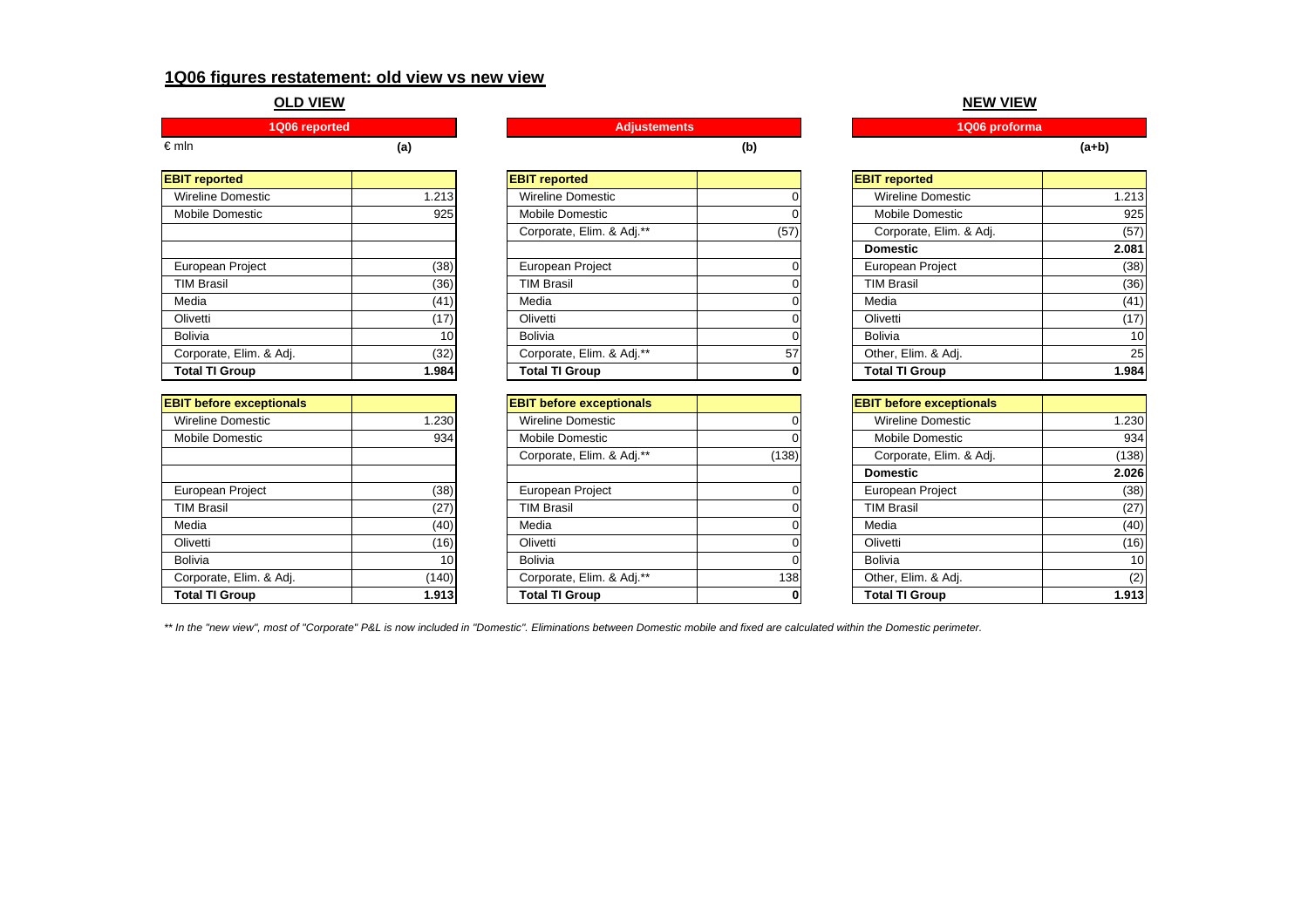# **1Q06 figures restatement: old view vs new view**

# **OLD VIEW**

|      |  | ments        |  | proforma |  |
|------|--|--------------|--|----------|--|
| €mIn |  | $\mathbf{D}$ |  | (a+b'    |  |

| <b>EBIT reported</b>     |       |
|--------------------------|-------|
| <b>Wireline Domestic</b> | 1.213 |
| Mobile Domestic          | 925   |
|                          |       |
|                          |       |
| European Project         | (38)  |
| <b>TIM Brasil</b>        | (36)  |
| Media                    | (41)  |
| Olivetti                 | (17)  |
| Bolivia                  | 10    |
| Corporate, Elim. & Adj.  | (32)  |
| <b>Total TI Group</b>    | 1.984 |

| 1.230 |
|-------|
| 934   |
|       |
|       |
| (38)  |
| (27)  |
| (40)  |
| (16)  |
| 10    |
| (140) |
| 1.913 |
|       |

| <b>EBIT reported</b>     |       | <b>EBIT reported</b>      |      | <b>EBIT</b> reported    |       |
|--------------------------|-------|---------------------------|------|-------------------------|-------|
| <b>Wireline Domestic</b> | 1.213 | <b>Wireline Domestic</b>  |      | Wireline Domestic       | 1.213 |
| Mobile Domestic          | 925   | <b>Mobile Domestic</b>    |      | <b>Mobile Domestic</b>  | 925   |
|                          |       | Corporate, Elim. & Adj.** | (57) | Corporate, Elim. & Adj. | (57)  |
|                          |       |                           |      | <b>Domestic</b>         | 2.081 |
| European Project         | (38)  | European Project          |      | European Project        | (38)  |
| <b>TIM Brasil</b>        | (36)  | <b>TIM Brasil</b>         |      | <b>TIM Brasil</b>       | (36)  |
| Media                    | (41)  | Media                     |      | Media                   | (41)  |
| Olivetti                 | (17)  | Olivetti                  |      | Olivetti                | (17)  |
| Bolivia                  | 10    | <b>Bolivia</b>            |      | Bolivia                 | 10    |
| Corporate, Elim. & Adj.  | (32)  | Corporate, Elim. & Adj.** | 57   | Other, Elim. & Adj.     | 25    |
| <b>Total TI Group</b>    | 1.984 | <b>Total TI Group</b>     |      | <b>Total TI Group</b>   | 1.984 |

| <b>EBIT before exceptionals</b> |       | <b>EBIT before exceptionals</b> |       | <b>EBIT before exceptionals</b> |       |
|---------------------------------|-------|---------------------------------|-------|---------------------------------|-------|
| <b>Wireline Domestic</b>        | 1.230 | <b>Wireline Domestic</b>        |       | Wireline Domestic               | 1.230 |
| <b>Mobile Domestic</b>          | 934   | <b>Mobile Domestic</b>          |       | <b>Mobile Domestic</b>          | 934   |
|                                 |       | Corporate, Elim. & Adj.**       | (138) | Corporate, Elim. & Adj.         | (138) |
|                                 |       |                                 |       | <b>Domestic</b>                 | 2.026 |
| European Project                | (38)  | European Project                |       | European Project                | (38)  |
| <b>TIM Brasil</b>               | (27)  | <b>TIM Brasil</b>               |       | <b>TIM Brasil</b>               | (27)  |
| Media                           | (40)  | Media                           |       | Media                           | (40)  |
| Olivetti                        | (16)  | Olivetti                        |       | Olivetti                        | (16)  |
| Bolivia                         | 10    | <b>Bolivia</b>                  |       | Bolivia                         | 10    |
| Corporate, Elim. & Adj.         | (140) | Corporate, Elim. & Adj.**       | 138   | Other, Elim. & Adj.             | (2)   |
| <b>Total TI Group</b>           | 1.913 | <b>Total TI Group</b>           |       | <b>Total TI Group</b>           | 1.913 |

# **NEW VIEW**

| <b>BIT reported</b>       |      | <b>EBIT reported</b>    |                 |
|---------------------------|------|-------------------------|-----------------|
| Wireline Domestic         |      | Wireline Domestic       | 1.213           |
| Mobile Domestic           |      | Mobile Domestic         | 925             |
| Corporate, Elim. & Adj.** | (57) | Corporate, Elim. & Adj. | (57)            |
|                           |      | <b>Domestic</b>         | 2.081           |
| European Project          | ი    | European Project        | (38)            |
| <b>TIM Brasil</b>         |      | <b>TIM Brasil</b>       | (36)            |
| Media                     |      | Media                   | (41)            |
| Olivetti                  |      | Olivetti                | (17)            |
| Bolivia                   |      | Bolivia                 | 10 <sup>1</sup> |
| Corporate, Elim. & Adj.** | 57   | Other, Elim. & Adj.     | <b>25</b>       |
| <b>Total TI Group</b>     | 0    | <b>Total TI Group</b>   | 1.984           |
|                           |      |                         |                 |

| <b>BIT before exceptionals</b> |       | <b>EBIT before exceptionals</b> |                 |
|--------------------------------|-------|---------------------------------|-----------------|
| Wireline Domestic              |       | Wireline Domestic               | 1.230           |
| Mobile Domestic                |       | Mobile Domestic                 | 934             |
| Corporate, Elim. & Adj.**      | (138) | Corporate, Elim. & Adj.         | (138)           |
|                                |       | <b>Domestic</b>                 | 2.026           |
| European Project               |       | European Project                | (38)            |
| TIM Brasil                     |       | <b>TIM Brasil</b>               | (27)            |
| Media                          |       | Media                           | (40)            |
| Olivetti                       |       | Olivetti                        | (16)            |
| Bolivia                        |       | Bolivia                         | 10 <sup>1</sup> |
| Corporate, Elim. & Adj.**      | 138   | Other, Elim. & Adj.             | (2)             |
| <b>Total TI Group</b>          | 0     | <b>Total TI Group</b>           | 1.913           |

*\*\* In the "new view", most of "Corporate" P&L is now included in "Domestic". Eliminations between Domestic mobile and fixed are calculated within the Domestic perimeter.*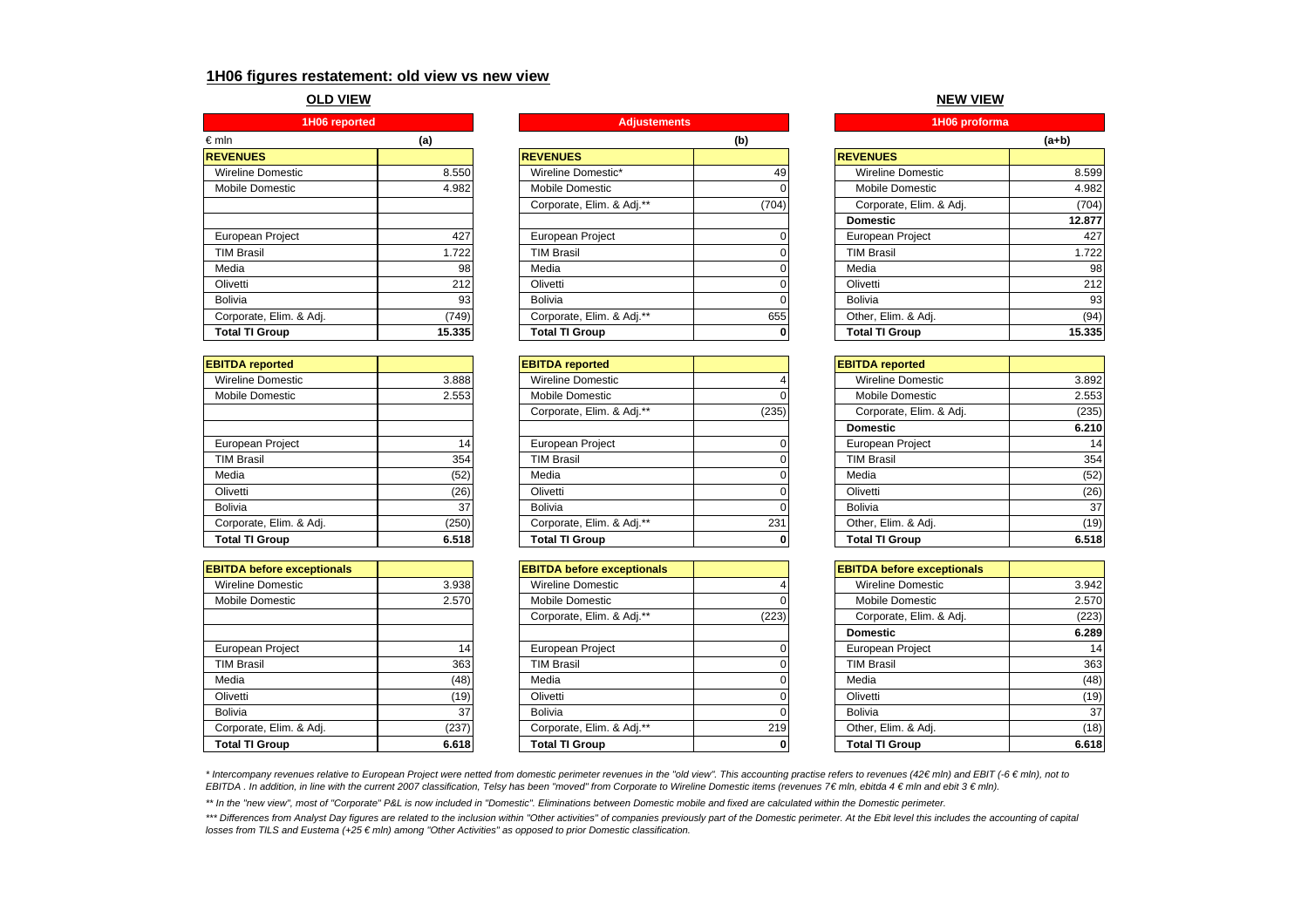## **1H06 figures restatement: old view vs new view**

#### **OLD VIEW**

| 1H06 reported            |        |                           | <b>Adjustements</b> |                          |
|--------------------------|--------|---------------------------|---------------------|--------------------------|
| $\epsilon$ mln           | (a)    |                           | (b)                 |                          |
| <b>REVENUES</b>          |        | <b>REVENUES</b>           |                     | <b>REVENUES</b>          |
| <b>Wireline Domestic</b> | 8.550  | Wireline Domestic*        | 49                  | <b>Wireline Domestic</b> |
| <b>Mobile Domestic</b>   | 4.982  | Mobile Domestic           |                     | Mobile Domestic          |
|                          |        | Corporate, Elim. & Adj.** | (704)               | Corporate, Elim. & Adj.  |
|                          |        |                           |                     | <b>Domestic</b>          |
| European Project         | 427    | European Project          |                     | <b>European Project</b>  |
| <b>TIM Brasil</b>        | .722   | <b>TIM Brasil</b>         |                     | <b>TIM Brasil</b>        |
| Media                    | 98     | Media                     |                     | Media                    |
| Olivetti                 | 212    | Olivetti                  |                     | Olivetti                 |
| <b>Bolivia</b>           | 93     | <b>Bolivia</b>            |                     | Bolivia                  |
| Corporate, Elim. & Adj.  | (749)  | Corporate, Elim. & Adj.** | 655                 | Other, Elim. & Adj.      |
| <b>Total TI Group</b>    | 15.335 | <b>Total TI Group</b>     |                     | <b>Total TI Group</b>    |

| <b>EBITDA</b> reported  |       |
|-------------------------|-------|
| Wireline Domestic       | 3.888 |
| <b>Mobile Domestic</b>  | 2.553 |
|                         |       |
|                         |       |
| European Project        | 14    |
| <b>TIM Brasil</b>       | 354   |
| Media                   | (52)  |
| Olivetti                | (26)  |
| Bolivia                 | 37    |
| Corporate, Elim. & Adj. | (250) |
| <b>Total TI Group</b>   | 6.518 |

| <b>EBITDA before exceptionals</b> |       |
|-----------------------------------|-------|
| <b>Wireline Domestic</b>          | 3.938 |
| Mobile Domestic                   | 2.570 |
|                                   |       |
|                                   |       |
| European Project                  | 14    |
| <b>TIM Brasil</b>                 | 363   |
| Media                             | (48)  |
| Olivetti                          | (19)  |
| Bolivia                           | 37    |
| Corporate, Elim. & Adj.           | (237) |
| <b>Total TI Group</b>             | 6.618 |

| €mIn                    | (a)    |                           | (b)   |                         | $(a+b)$ |
|-------------------------|--------|---------------------------|-------|-------------------------|---------|
| <b>REVENUES</b>         |        | <b>REVENUES</b>           |       | <b>REVENUES</b>         |         |
| Wireline Domestic       | 8.550  | Wireline Domestic*        | 49    | Wireline Domestic       | 8.599   |
| Mobile Domestic         | 4.982  | Mobile Domestic           |       | <b>Mobile Domestic</b>  | 4.982   |
|                         |        | Corporate, Elim. & Adj.** | (704) | Corporate, Elim. & Adj. | (704)   |
|                         |        |                           |       | <b>Domestic</b>         | 12.877  |
| European Project        | 427    | European Project          |       | <b>European Project</b> | 427     |
| <b>TIM Brasil</b>       | 1.722  | <b>TIM Brasil</b>         |       | <b>TIM Brasil</b>       | 1.722   |
| Media                   | 98     | Media                     |       | Media                   | 98      |
| Olivetti                | 212    | Olivetti                  |       | Olivetti                | 212     |
| Bolivia                 | 93     | <b>Bolivia</b>            |       | Bolivia                 | 93      |
| Corporate, Elim. & Adj. | (749)  | Corporate, Elim. & Adj.** | 655   | Other, Elim. & Adj.     | (94)    |
| <b>Total TI Group</b>   | 15.335 | <b>Total TI Group</b>     | 0     | <b>Total TI Group</b>   | 15.335  |
|                         |        |                           |       |                         |         |

| <b>EBITDA reported</b>  |       | <b>EBITDA</b> reported    |       | <b>EBITDA</b> reported   |       |
|-------------------------|-------|---------------------------|-------|--------------------------|-------|
| Wireline Domestic       | 3.888 | <b>Wireline Domestic</b>  |       | <b>Wireline Domestic</b> | 3.892 |
| Mobile Domestic         | 2.553 | Mobile Domestic           |       | <b>Mobile Domestic</b>   | 2.553 |
|                         |       | Corporate, Elim. & Adj.** | (235) | Corporate, Elim. & Adj.  | (235) |
|                         |       |                           |       | <b>Domestic</b>          | 6.210 |
| European Project        |       | <b>European Project</b>   |       | European Project         | 14    |
| <b>TIM Brasil</b>       | 354   | <b>TIM Brasil</b>         |       | <b>TIM Brasil</b>        | 354   |
| Media                   | (52)  | Media                     |       | Media                    | (52)  |
| Olivetti                | (26)  | Olivetti                  |       | Olivetti                 | (26)  |
| Bolivia                 | 37    | <b>Bolivia</b>            |       | <b>Bolivia</b>           | 37    |
| Corporate, Elim. & Adj. | (250) | Corporate, Elim. & Adj.** | 231   | Other, Elim. & Adj.      | (19)  |
| <b>Total TI Group</b>   | 6.518 | <b>Total TI Group</b>     | 0     | <b>Total TI Group</b>    | 6.518 |

| <b>EBITDA before exceptionals</b> |       | <b>EBITDA before exceptionals</b> |       | <b>EBITDA before exceptionals</b> |       |
|-----------------------------------|-------|-----------------------------------|-------|-----------------------------------|-------|
| Wireline Domestic                 | 3.938 | <b>Wireline Domestic</b>          |       | Wireline Domestic                 | 3.942 |
| Mobile Domestic                   | 2.570 | Mobile Domestic                   |       | Mobile Domestic                   | 2.570 |
|                                   |       | Corporate, Elim. & Adj.**         | (223) | Corporate, Elim. & Adj.           | (223) |
|                                   |       |                                   |       | <b>Domestic</b>                   | 6.289 |
| European Project                  |       | <b>European Project</b>           |       | European Project                  | 14    |
| <b>TIM Brasil</b>                 | 363   | <b>TIM Brasil</b>                 |       | <b>TIM Brasil</b>                 | 363   |
| Media                             | (48)  | Media                             |       | Media                             | (48)  |
| Olivetti                          | (19)  | Olivetti                          |       | Olivetti                          | (19)  |
| Bolivia                           | 37    | Bolivia                           |       | <b>Bolivia</b>                    | 37    |
| Corporate, Elim. & Adj.           | (237) | Corporate, Elim. & Adj.**         | 219   | Other, Elim. & Adj.               | (18)  |
| <b>Total TI Group</b>             | 6.618 | <b>Total TI Group</b>             |       | <b>Total TI Group</b>             | 6.618 |
|                                   |       |                                   |       |                                   |       |

#### **NEW VIEW**

| <b>Adjustements</b>       |       | 1H06 proforma            |        |
|---------------------------|-------|--------------------------|--------|
|                           | (b)   |                          | (a+b)  |
| <b>EVENUES</b>            |       | <b>REVENUES</b>          |        |
| Wireline Domestic*        | 49    | <b>Wireline Domestic</b> | 8.599  |
| Mobile Domestic           |       | Mobile Domestic          | 4.982  |
| Corporate, Elim. & Adj.** | (704) | Corporate, Elim. & Adj.  | (704)  |
|                           |       | <b>Domestic</b>          | 12,877 |
| European Project          |       | European Project         | 427    |
| <b>TIM Brasil</b>         |       | <b>TIM Brasil</b>        | 1.722  |
| Media                     |       | Media                    | 98     |
| Olivetti                  |       | Olivetti                 | 212    |
| <b>Bolivia</b>            |       | <b>Bolivia</b>           | 93     |
| Corporate, Elim. & Adj.** | 655   | Other, Elim. & Adj.      | (94)   |
| <b>Total TI Group</b>     | 0     | <b>Total TI Group</b>    | 15.335 |

| <b>BITDA reported</b>     |       | <b>EBITDA</b> reported   |                 |
|---------------------------|-------|--------------------------|-----------------|
| Wireline Domestic         |       | <b>Wireline Domestic</b> | 3.892           |
| Mobile Domestic           |       | Mobile Domestic          | 2.553           |
| Corporate, Elim. & Adj.** | (235) | Corporate, Elim. & Adj.  | (235)           |
|                           |       | <b>Domestic</b>          | 6.210           |
| European Project          |       | European Project         | 14              |
| TIM Brasil                |       | <b>TIM Brasil</b>        | 354             |
| Media                     |       | Media                    | (52)            |
| Olivetti                  |       | Olivetti                 | (26)            |
| <b>Bolivia</b>            |       | Bolivia                  | 37 <sup>1</sup> |
| Corporate, Elim. & Adj.** | 231   | Other, Elim. & Adj.      | (19)            |
| <b>Total TI Group</b>     | 0     | <b>Total TI Group</b>    | 6.518           |

| <b>BITDA before exceptionals</b> |       | <b>EBITDA before exceptionals</b> |       |
|----------------------------------|-------|-----------------------------------|-------|
| Wireline Domestic                |       | Wireline Domestic                 | 3.942 |
| Mobile Domestic                  |       | Mobile Domestic                   | 2.570 |
| Corporate, Elim. & Adj.**        | (223) | Corporate, Elim. & Adj.           | (223) |
|                                  |       | <b>Domestic</b>                   | 6.289 |
| European Project                 |       | European Project                  | 14    |
| TIM Brasil                       |       | <b>TIM Brasil</b>                 | 363   |
| Media                            |       | Media                             | (48)  |
| Olivetti                         |       | Olivetti                          | (19)  |
| <b>Bolivia</b>                   |       | Bolivia                           | 37    |
| Corporate, Elim. & Adj.**        | 219   | Other, Elim. & Adj.               | (18)  |
| <b>Total TI Group</b>            |       | <b>Total TI Group</b>             | 6.618 |

*\* Intercompany revenues relative to European Project were netted from domestic perimeter revenues in the "old view". This accounting practise refers to revenues (42 € mln) and EBIT (-6 € mln), not to EBITDA . In addition, in line with the current 2007 classification, Telsy has been "moved" from Corporate to Wireline Domestic items (revenues 7€ mln, ebitda 4 € mln and ebit 3 € mln).* 

*\*\* In the "new view", most of "Corporate" P&L is now included in "Domestic". Eliminations between Domestic mobile and fixed are calculated within the Domestic perimeter.* 

*\*\*\* Differences from Analyst Day figures are related to the inclusion within "Other activities" of companies previously part of the Domestic perimeter. At the Ebit level this includes the accounting of capital losses from TILS and Eustema (+25 € mln) among "Other Activities" as opposed to prior Domestic classification.*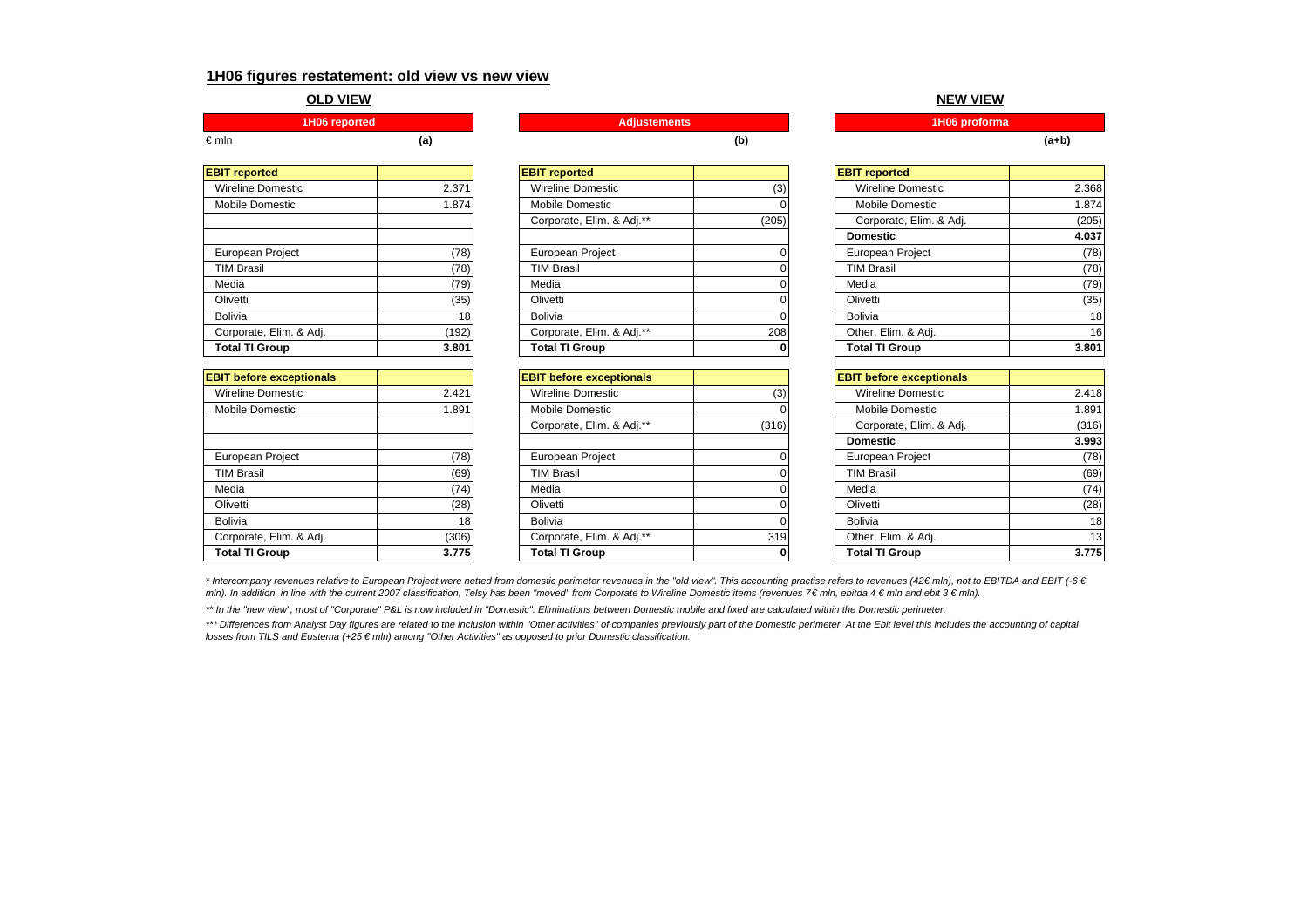### **1H06 figures restatement: old view vs new view**

#### **OLD VIEW**

€ mln

| <b>EBIT</b> reported     |       |
|--------------------------|-------|
| <b>Wireline Domestic</b> | 2.371 |
| <b>Mobile Domestic</b>   | 1.874 |
|                          |       |
|                          |       |
| European Project         | (78)  |
| <b>TIM Brasil</b>        | (78)  |
| Media                    | (79)  |
| Olivetti                 | (35)  |
| <b>Bolivia</b>           | 18    |
| Corporate, Elim. & Adj.  | (192) |
| <b>Total TI Group</b>    | 3.801 |

| <b>EBIT before exceptionals</b> |       |
|---------------------------------|-------|
| <b>Wireline Domestic</b>        | 2.421 |
| Mobile Domestic                 | 1.891 |
|                                 |       |
|                                 |       |
| European Project                | 78)   |
| <b>TIM Brasil</b>               | (69   |
| Media                           |       |
| Olivetti                        | (28)  |
| Bolivia                         | 18    |
| Corporate, Elim. & Adj.         | (306) |
| <b>Total TI Group</b>           | 3.7   |

**1H06 reported Adjustements 1H06 proforma**

| <b>EBIT reported</b>     |       | <b>EBIT</b> reported      |       | <b>EBIT reported</b>     |       |
|--------------------------|-------|---------------------------|-------|--------------------------|-------|
| <b>Wireline Domestic</b> | 2.371 | <b>Wireline Domestic</b>  | (3)   | <b>Wireline Domestic</b> | 2.368 |
| Mobile Domestic          | 1.874 | Mobile Domestic           |       | <b>Mobile Domestic</b>   | 1.874 |
|                          |       | Corporate, Elim. & Adj.** | (205) | Corporate, Elim. & Adj.  | (205) |
|                          |       |                           |       | <b>Domestic</b>          | 4.037 |
| European Project         | (78)  | European Project          |       | European Project         | (78)  |
| <b>TIM Brasil</b>        | (78)  | <b>TIM Brasil</b>         |       | <b>TIM Brasil</b>        | (78)  |
| Media                    | (79)  | Media                     |       | Media                    | (79)  |
| Olivetti                 | (35)  | Olivetti                  |       | Olivetti                 | (35)  |
| Bolivia                  | 18    | <b>Bolivia</b>            |       | <b>Bolivia</b>           | 18    |
| Corporate, Elim. & Adj.  | (192) | Corporate, Elim. & Adj.** | 208   | Other, Elim. & Adj.      | 16    |
| <b>Total TI Group</b>    | 3.801 | <b>Total TI Group</b>     | 0     | <b>Total TI Group</b>    | 3.801 |

| <b>EBIT before exceptionals</b> |       | <b>EBIT before exceptionals</b> |       | <b>EBIT before exceptionals</b> |       |
|---------------------------------|-------|---------------------------------|-------|---------------------------------|-------|
| Wireline Domestic               | 2.421 | <b>Wireline Domestic</b>        | (3)   | Wireline Domestic               | 2.418 |
| Mobile Domestic                 | 1.891 | Mobile Domestic                 |       | Mobile Domestic                 | 1.891 |
|                                 |       | Corporate, Elim. & Adj.**       | (316) | Corporate, Elim. & Adj.         | (316) |
|                                 |       |                                 |       | <b>Domestic</b>                 | 3.993 |
| European Project                | (78)  | European Project                |       | European Project                | (78)  |
| <b>TIM Brasil</b>               | (69)  | <b>TIM Brasil</b>               |       | <b>TIM Brasil</b>               | (69)  |
| Media                           | (74)  | Media                           |       | Media                           | (74)  |
| Olivetti                        | (28)  | Olivetti                        |       | Olivetti                        | (28)  |
| <b>Bolivia</b>                  | 18    | <b>Bolivia</b>                  |       | <b>Bolivia</b>                  | 18    |
| Corporate, Elim. & Adj.         | (306) | Corporate, Elim. & Adj.**       | 319   | Other, Elim. & Adj.             | 13    |
| <b>Total TI Group</b>           | 3.775 | <b>Total TI Group</b>           |       | <b>Total TI Group</b>           | 3.775 |

#### **NEW VIEW**

**(a) (b) (a+b)**

| <b>BIT</b> reported       |       | <b>EBIT reported</b>     |                 |
|---------------------------|-------|--------------------------|-----------------|
| Wireline Domestic         | (3)   | <b>Wireline Domestic</b> | 2.368           |
| Mobile Domestic           |       | Mobile Domestic          | 1.874           |
| Corporate, Elim. & Adj.** | (205) | Corporate, Elim. & Adj.  | (205)           |
|                           |       | <b>Domestic</b>          | 4.037           |
| European Project          |       | European Project         | (78)            |
| TIM Brasil                |       | <b>TIM Brasil</b>        | (78)            |
| Media                     |       | Media                    | (79)            |
| Olivetti                  |       | Olivetti                 | (35)            |
| Bolivia                   |       | <b>Bolivia</b>           | 18              |
| Corporate, Elim. & Adj.** | 208   | Other, Elim. & Adj.      | 16 <sup>1</sup> |
| <b>Total TI Group</b>     | 0     | <b>Total TI Group</b>    | 3.801           |

| <b>BIT before exceptionals</b> |              | <b>EBIT before exceptionals</b> |                 |
|--------------------------------|--------------|---------------------------------|-----------------|
| Wireline Domestic              | (3)          | <b>Wireline Domestic</b>        | 2.418           |
| Mobile Domestic                |              | Mobile Domestic                 | 1.891           |
| Corporate, Elim. & Adj.**      | (316)        | Corporate, Elim. & Adj.         | (316)           |
|                                |              | <b>Domestic</b>                 | 3.993           |
| European Project               |              | European Project                | (78)            |
| TIM Brasil                     |              | <b>TIM Brasil</b>               | (69)            |
| Media                          |              | Media                           | (74)            |
| Olivetti                       |              | Olivetti                        | (28)            |
| <b>Bolivia</b>                 |              | <b>Bolivia</b>                  | 18 <sup>1</sup> |
| Corporate, Elim. & Adj.**      | 319          | Other, Elim. & Adj.             | 13 <sub>l</sub> |
| Total TI Group                 | $\mathbf{0}$ | <b>Total TI Group</b>           | 3.775           |

*\* Intercompany revenues relative to European Project were netted from domestic perimeter revenues in the "old view". This accounting practise refers to revenues (42 € mln), not to EBITDA and EBIT (-6 €*  mln). In addition, in line with the current 2007 classification, Telsy has been "moved" from Corporate to Wireline Domestic items (revenues 7€ mln, ebitda 4 € mln and ebit 3 € mln).

*\*\* In the "new view", most of "Corporate" P&L is now included in "Domestic". Eliminations between Domestic mobile and fixed are calculated within the Domestic perimeter.* 

\*\*\* Differences from Analyst Day figures are related to the inclusion within "Other activities" of companies previously part of the Domestic perimeter. At the Ebit level this includes the accounting of capital *losses from TILS and Eustema (+25 € mln) among "Other Activities" as opposed to prior Domestic classification.*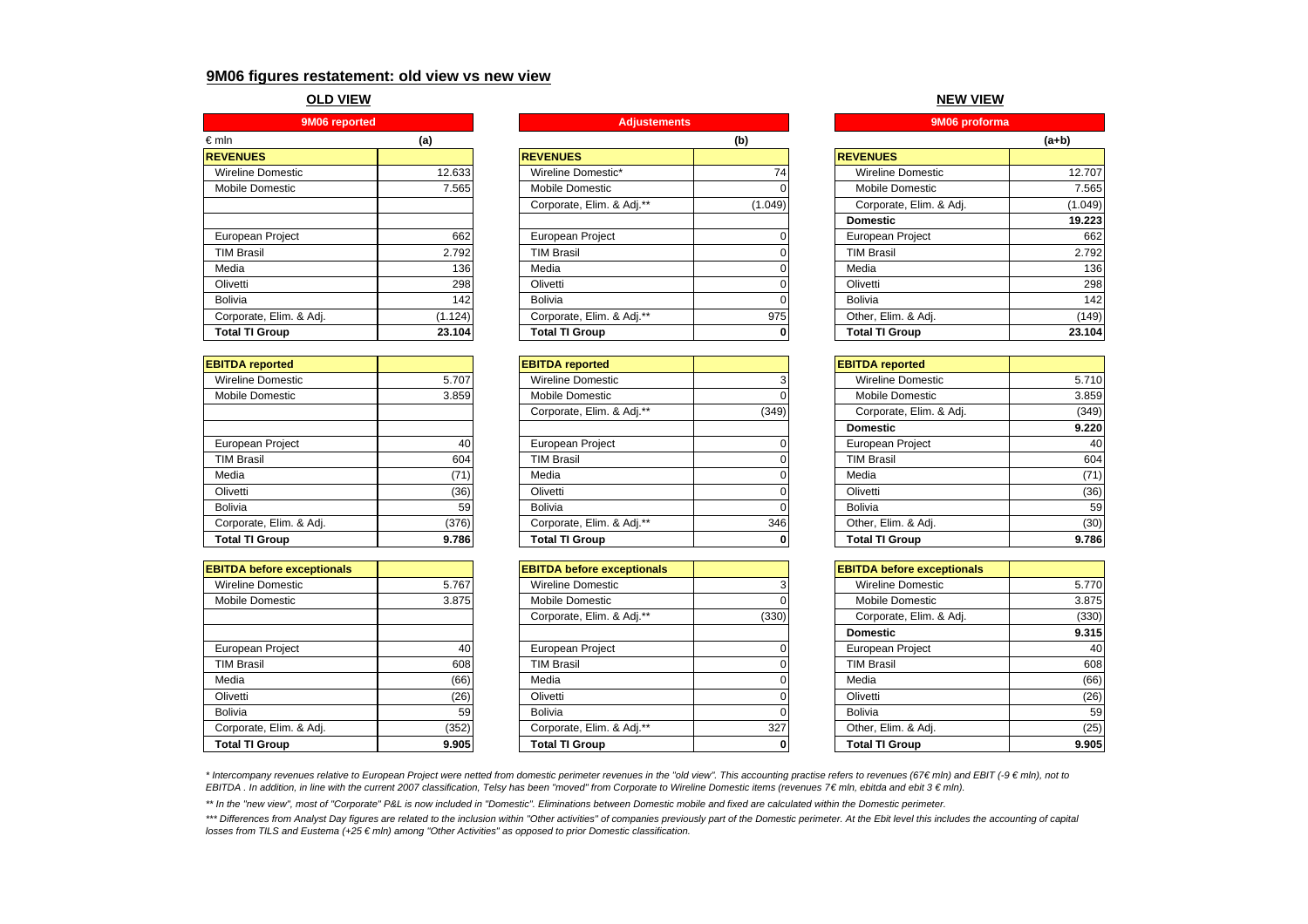## **9M06 figures restatement: old view vs new view**

#### **OLD VIEW**

| 9M06 reported                      |        |  |  |
|------------------------------------|--------|--|--|
| €mln                               | (a)    |  |  |
| <b>REVENUES</b>                    |        |  |  |
| Wireline Domestic                  | 12.633 |  |  |
| Mobile Domestic                    | 7.565  |  |  |
|                                    |        |  |  |
|                                    |        |  |  |
| European Project                   | 662    |  |  |
| <b>TIM Brasil</b>                  | 2.792  |  |  |
| Media                              | 136    |  |  |
| Olivetti                           | 298    |  |  |
| Bolivia                            | 142    |  |  |
| Corporate, Elim. & Adj.<br>(1.124) |        |  |  |
| <b>Total TI Group</b>              | 23.104 |  |  |

| <b>EBITDA</b> reported  |       |
|-------------------------|-------|
| Wireline Domestic       | 5.707 |
| Mobile Domestic         | 3.859 |
|                         |       |
|                         |       |
| European Project        | 40    |
| <b>TIM Brasil</b>       | 604   |
| Media                   | (71   |
| Olivetti                | (36)  |
| Bolivia                 | 59    |
| Corporate, Elim. & Adj. | (376) |
| <b>Total TI Group</b>   | 9.786 |

| <b>EBITDA before exceptionals</b> |       |
|-----------------------------------|-------|
| Wireline Domestic                 | 5.767 |
| Mobile Domestic                   | 3.875 |
|                                   |       |
|                                   |       |
| European Project                  | 40    |
| <b>TIM Brasil</b>                 | 608   |
| Media                             | (66)  |
| Olivetti                          | (26)  |
| Bolivia                           | 59    |
| Corporate, Elim. & Adj.           | (352) |
| <b>Total TI Group</b>             | 9.905 |

### **(a) (b) (a+b) REVENUES REVENUES REVENUES**Wireline Domestic\* 12.633 Wireline Domestic 12.633 Wireline Domestic 12.74 Mobile Domestic 7.565**l I Mobile Domestic 0l I Mobile Do**mestic 7.565 Corporate, Elim. & Adj.<sup>\*\*</sup> (1.049) European Project | 662 | | European Project | 0 | | European Project | 662 | TIM Brasil 2.792 TIM Brasil 0 TIM Brasil 2.792Media 136 | Media 136 | Media 136 | 136 | 136 | 136 | 136 | 136 | 136 | 136 | 136 | 136 | 136 | 136 | 136 | 13 Olivetti 298 Olivetti 0 Olivetti 298Bolivia 142 Bolivia 0 Bolivia 142Corporate, Elim. & Adj. \*\* 975 **Total TI Group 23.104 Total TI Group 0 Total TI Group 23.104 9M06 reported Adjustements 9M06 proforma**

| <b>EBITDA reported</b>   |       | <b>EBITDA</b> reported    |       | <b>EBITDA</b> reported   |       |
|--------------------------|-------|---------------------------|-------|--------------------------|-------|
| <b>Wireline Domestic</b> | 5.707 | <b>Wireline Domestic</b>  |       | <b>Wireline Domestic</b> | 5.710 |
| Mobile Domestic          | 3.859 | Mobile Domestic           |       | <b>Mobile Domestic</b>   | 3.859 |
|                          |       | Corporate, Elim. & Adj.** | (349) | Corporate, Elim. & Adj.  | (349) |
|                          |       |                           |       | <b>Domestic</b>          | 9.220 |
| European Project         | 40    | European Project          |       | <b>European Project</b>  | 40    |
| <b>TIM Brasil</b>        | 604   | <b>TIM Brasil</b>         |       | <b>TIM Brasil</b>        | 604   |
| Media                    | (71)  | Media                     |       | Media                    | (71)  |
| Olivetti                 | (36)  | Olivetti                  |       | Olivetti                 | (36)  |
| Bolivia                  | 59    | <b>Bolivia</b>            |       | <b>Bolivia</b>           | 59    |
| Corporate, Elim. & Adj.  | (376) | Corporate, Elim. & Adj.** | 346   | Other, Elim. & Adj.      | (30)  |
| <b>Total TI Group</b>    | 9.786 | <b>Total TI Group</b>     |       | <b>Total TI Group</b>    | 9.786 |

| <b>EBITDA before exceptionals</b> |       | <b>EBITDA before exceptionals</b> |       | <b>EBITDA before exceptionals</b> |       |
|-----------------------------------|-------|-----------------------------------|-------|-----------------------------------|-------|
| Wireline Domestic                 | 5.767 | <b>Wireline Domestic</b>          |       | Wireline Domestic                 | 5.770 |
| Mobile Domestic                   | 3.875 | Mobile Domestic                   |       | Mobile Domestic                   | 3.875 |
|                                   |       | Corporate, Elim. & Adj.**         | (330) | Corporate, Elim. & Adj.           | (330) |
|                                   |       |                                   |       | <b>Domestic</b>                   | 9.315 |
| European Project                  | 40    | European Project                  |       | European Project                  | 40    |
| <b>TIM Brasil</b>                 | 608   | <b>TIM Brasil</b>                 |       | <b>TIM Brasil</b>                 | 608   |
| Media                             | (66)  | Media                             |       | Media                             | (66)  |
| Olivetti                          | (26)  | Olivetti                          |       | Olivetti                          | (26)  |
| Bolivia                           | 59    | Bolivia                           |       | <b>Bolivia</b>                    | 59    |
| Corporate, Elim. & Adj.           | (352) | Corporate, Elim. & Adj.**         | 327   | Other, Elim. & Adj.               | (25)  |
| <b>Total TI Group</b>             | 9.905 | <b>Total TI Group</b>             |       | <b>Total TI Group</b>             | 9.905 |
|                                   |       |                                   |       |                                   |       |

#### **NEW VIEW**

| 9M06 proforma            |         |  |  |
|--------------------------|---------|--|--|
| (a+b)                    |         |  |  |
| <b>REVENUES</b>          |         |  |  |
| <b>Wireline Domestic</b> | 12.707  |  |  |
| Mobile Domestic          | 7.565   |  |  |
| Corporate, Elim. & Adj.  | (1.049) |  |  |
| <b>Domestic</b>          | 19.223  |  |  |
| <b>European Project</b>  | 662     |  |  |
| <b>TIM Brasil</b>        | 2.792   |  |  |
| Media                    | 136     |  |  |
| Olivetti                 | 298     |  |  |
| <b>Bolivia</b>           | 142     |  |  |
| Other, Elim. & Adj.      | (149    |  |  |
| <b>Total TI Group</b>    | 23.104  |  |  |

|       | <b>EBITDA</b> reported   |       |
|-------|--------------------------|-------|
|       | <b>Wireline Domestic</b> | 5.710 |
|       | Mobile Domestic          | 3.859 |
| (349) | Corporate, Elim. & Adj.  | (349) |
|       | <b>Domestic</b>          | 9.220 |
|       | European Project         | 40    |
|       | <b>TIM Brasil</b>        | 604   |
|       | Media                    | (71)  |
|       | Olivetti                 | (36)  |
|       | <b>Bolivia</b>           | 59    |
| 346   | Other, Elim. & Adj.      | (30)  |
| 0     | <b>Total TI Group</b>    | 9.786 |
|       |                          |       |

| <b>BITDA before exceptionals</b> |       | <b>EBITDA before exceptionals</b> |       |
|----------------------------------|-------|-----------------------------------|-------|
| Wireline Domestic                |       | Wireline Domestic                 | 5.770 |
| Mobile Domestic                  |       | Mobile Domestic                   | 3.875 |
| Corporate, Elim. & Adj.**        | (330) | Corporate, Elim. & Adj.           | (330) |
|                                  |       | <b>Domestic</b>                   | 9.315 |
| European Project                 |       | European Project                  | 40    |
| TIM Brasil                       |       | <b>TIM Brasil</b>                 | 608   |
| Media                            |       | Media                             | (66)  |
| Olivetti                         |       | Olivetti                          | (26)  |
| <b>Bolivia</b>                   |       | <b>Bolivia</b>                    | 59    |
| Corporate, Elim. & Adj.**        | 327   | Other, Elim. & Adj.               | (25)  |
| <b>Total TI Group</b>            |       | <b>Total TI Group</b>             | 9.905 |

\* Intercompany revenues relative to European Project were netted from domestic perimeter revenues in the "old view". This accounting practise refers to revenues (67€ mln) and EBIT (-9 € mln), not to *EBITDA . In addition, in line with the current 2007 classification, Telsy has been "moved" from Corporate to Wireline Domestic items (revenues 7€ mln, ebitda and ebit 3 € mln).* 

*\*\* In the "new view", most of "Corporate" P&L is now included in "Domestic". Eliminations between Domestic mobile and fixed are calculated within the Domestic perimeter.* 

\*\*\* Differences from Analyst Day figures are related to the inclusion within "Other activities" of companies previously part of the Domestic perimeter. At the Ebit level this includes the accounting of capital *losses from TILS and Eustema (+25 € mln) among "Other Activities" as opposed to prior Domestic classification.*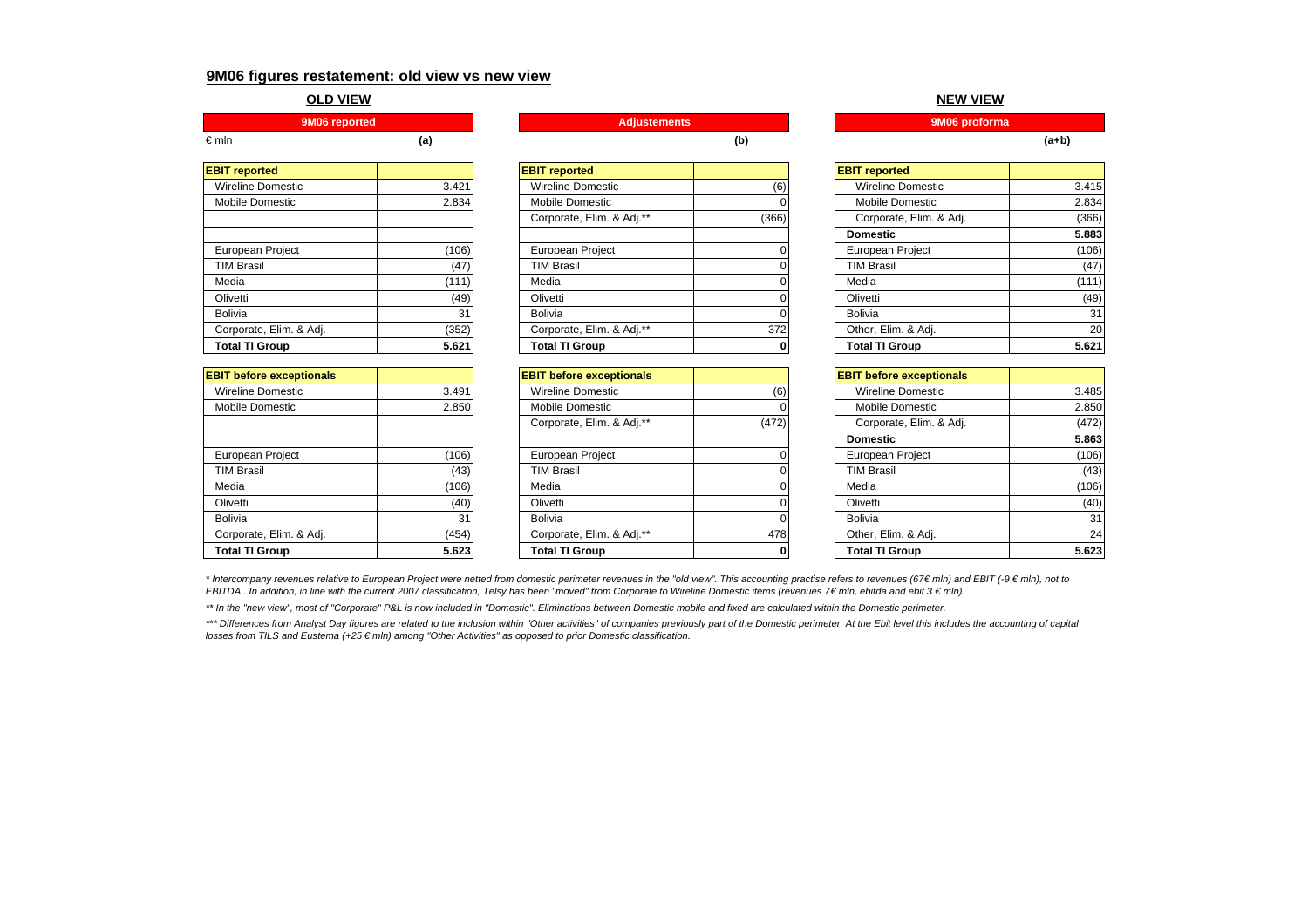### **9M06 figures restatement: old view vs new view**

#### **OLD VIEW**

| €mln | 1a. |  |  |  | (a+b |
|------|-----|--|--|--|------|

| <b>EBIT reported</b>     |       |
|--------------------------|-------|
| <b>Wireline Domestic</b> | 3.421 |
| Mobile Domestic          | 2.834 |
|                          |       |
|                          |       |
| European Project         | (106) |
| <b>TIM Brasil</b>        | (47   |
| Media                    | (111) |
| Olivetti                 | (49)  |
| Bolivia                  | 31    |
| Corporate, Elim. & Adj.  | (352) |
| <b>Total TI Group</b>    | 5.621 |

| <b>EBIT before exceptionals</b> |       |
|---------------------------------|-------|
| Wireline Domestic               | 3.491 |
| Mobile Domestic                 | 2.850 |
|                                 |       |
|                                 |       |
| European Project                | (106) |
| <b>TIM Brasil</b>               | (43   |
| Media                           | (106) |
| Olivetti                        | (40)  |
| Bolivia                         | 31    |
| Corporate, Elim. & Adj.         | (454  |
| <b>Total TI Group</b>           | 5.62  |

| <b>EBIT reported</b>    |       | <b>EBIT reported</b>      |              | <b>EBIT reported</b>    |       |
|-------------------------|-------|---------------------------|--------------|-------------------------|-------|
| Wireline Domestic       | 3.421 | <b>Wireline Domestic</b>  | (6)          | Wireline Domestic       | 3.415 |
| Mobile Domestic         | 2.834 | Mobile Domestic           |              | <b>Mobile Domestic</b>  | 2.834 |
|                         |       | Corporate, Elim. & Adj.** | (366)        | Corporate, Elim. & Adj. | (366) |
|                         |       |                           |              | <b>Domestic</b>         | 5.883 |
| European Project        | (106) | European Project          |              | European Project        | (106) |
| <b>TIM Brasil</b>       | (47)  | <b>TIM Brasil</b>         |              | <b>TIM Brasil</b>       | (47)  |
| Media                   | (111) | Media                     |              | Media                   | (111) |
| Olivetti                | (49)  | Olivetti                  |              | Olivetti                | (49)  |
| <b>Bolivia</b>          | 31    | <b>Bolivia</b>            |              | Bolivia                 | 31    |
| Corporate, Elim. & Adj. | (352) | Corporate, Elim. & Adj.** | 372          | Other, Elim. & Adj.     | 20    |
| <b>Total TI Group</b>   | 5.621 | <b>Total TI Group</b>     | $\mathbf{0}$ | <b>Total TI Group</b>   | 5.621 |

|       | <b>EBIT before exceptionals</b> |       | <b>EBIT before exceptionals</b> |       |
|-------|---------------------------------|-------|---------------------------------|-------|
| 3.491 | <b>Wireline Domestic</b>        | (6)   | <b>Wireline Domestic</b>        | 3.485 |
| 2.850 | Mobile Domestic                 |       | Mobile Domestic                 | 2.850 |
|       | Corporate, Elim. & Adj.**       | (472) | Corporate, Elim. & Adj.         | (472) |
|       |                                 |       | <b>Domestic</b>                 | 5.863 |
| (106) | European Project                |       | European Project                | (106) |
| (43)  | <b>TIM Brasil</b>               |       | <b>TIM Brasil</b>               | (43)  |
| (106) | Media                           |       | Media                           | (106) |
| (40)  | Olivetti                        |       | Olivetti                        | (40)  |
| 31    | <b>Bolivia</b>                  |       | <b>Bolivia</b>                  | 31    |
| (454) | Corporate, Elim. & Adj.**       |       | Other, Elim. & Adj.             | 24    |
| 5.623 | <b>Total TI Group</b>           |       | <b>Total TI Group</b>           | 5.623 |
|       |                                 |       |                                 | 478   |

**NEW VIEW**

| <b>BIT reported</b>       |       | <b>EBIT reported</b>    |       |
|---------------------------|-------|-------------------------|-------|
| Wireline Domestic         | (6)   | Wireline Domestic       | 3.415 |
| Mobile Domestic           | Ω     | Mobile Domestic         | 2.834 |
| Corporate, Elim. & Adj.** | (366) | Corporate, Elim. & Adj. | (366) |
|                           |       | <b>Domestic</b>         | 5.883 |
| European Project          |       | European Project        | (106) |
| TIM Brasil                |       | <b>TIM Brasil</b>       | (47)  |
| Media                     |       | Media                   | (111) |
| Olivetti                  |       | Olivetti                | (49)  |
| <b>Bolivia</b>            |       | <b>Bolivia</b>          | 31    |
| Corporate, Elim. & Adj.** | 372   | Other, Elim. & Adj.     | 20    |
| <b>Total TI Group</b>     | 0     | <b>Total TI Group</b>   | 5.621 |

| <b>BIT before exceptionals</b> |       | <b>EBIT before exceptionals</b> |       |
|--------------------------------|-------|---------------------------------|-------|
| Wireline Domestic              | (6)   | <b>Wireline Domestic</b>        | 3.485 |
| Mobile Domestic                |       | Mobile Domestic                 | 2.850 |
| Corporate, Elim. & Adj.**      | (472) | Corporate, Elim. & Adj.         | (472) |
|                                |       | <b>Domestic</b>                 | 5.863 |
| European Project               |       | European Project                | (106) |
| TIM Brasil                     |       | <b>TIM Brasil</b>               | (43)  |
| Media                          |       | Media                           | (106) |
| Olivetti                       |       | Olivetti                        | (40)  |
| <b>Bolivia</b>                 |       | <b>Bolivia</b>                  | 31    |
| Corporate, Elim. & Adj.**      | 478   | Other, Elim. & Adj.             | 24    |
| Total TI Group                 | 0     | Total TI Group                  | 5.623 |

\* Intercompany revenues relative to European Project were netted from domestic perimeter revenues in the "old view". This accounting practise refers to revenues (67€ mln) and EBIT (-9 € mln), not to *EBITDA . In addition, in line with the current 2007 classification, Telsy has been "moved" from Corporate to Wireline Domestic items (revenues 7€ mln, ebitda and ebit 3 € mln).* 

\*\* In the "new view", most of "Corporate" P&L is now included in "Domestic". Eliminations between Domestic mobile and fixed are calculated within the Domestic perimeter.

\*\*\* Differences from Analyst Day figures are related to the inclusion within "Other activities" of companies previously part of the Domestic perimeter. At the Ebit level this includes the accounting of capital *losses from TILS and Eustema (+25 € mln) among "Other Activities" as opposed to prior Domestic classification.*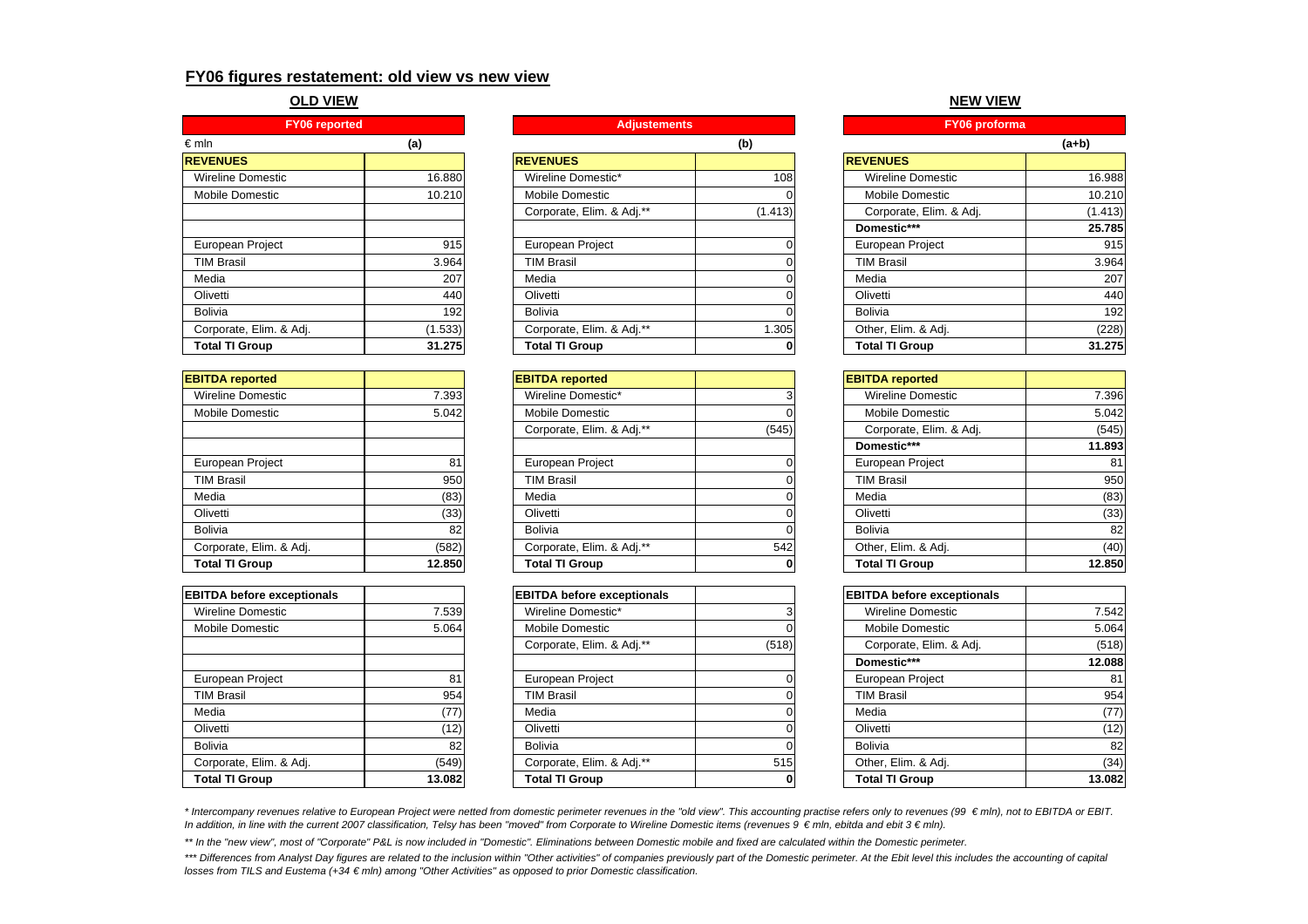## **FY06 figures restatement: old view vs new view**

### **OLD VIEW**

| <b>FY06</b> reported    |         |  |  |  |
|-------------------------|---------|--|--|--|
| €mln                    | (a)     |  |  |  |
| <b>REVENUES</b>         |         |  |  |  |
| Wireline Domestic       | 16.880  |  |  |  |
| <b>Mobile Domestic</b>  | 10.210  |  |  |  |
|                         |         |  |  |  |
|                         |         |  |  |  |
| <b>European Project</b> | 915     |  |  |  |
| <b>TIM Brasil</b>       | 3.964   |  |  |  |
| Media                   | 207     |  |  |  |
| Olivetti                | 440     |  |  |  |
| <b>Bolivia</b>          | 192     |  |  |  |
| Corporate, Elim. & Adj. | (1.533) |  |  |  |
| <b>Total TI Group</b>   | 31.275  |  |  |  |

| <b>EBITDA</b> reported  |        |
|-------------------------|--------|
| Wireline Domestic       | 7.393  |
| Mobile Domestic         | 5.042  |
|                         |        |
|                         |        |
| European Project        | 81     |
| <b>TIM Brasil</b>       | 950    |
| Media                   | (83)   |
| Olivetti                | (33)   |
| <b>Bolivia</b>          | 82     |
| Corporate, Elim. & Adj. | (582)  |
| <b>Total TI Group</b>   | 12.850 |

| <b>EBITDA before exceptionals</b> |        |
|-----------------------------------|--------|
| Wireline Domestic                 | 7.539  |
| Mobile Domestic                   | 5.064  |
|                                   |        |
|                                   |        |
| European Project                  | 81     |
| <b>TIM Brasil</b>                 | 954    |
| Media                             | (77)   |
| Olivetti                          | (12)   |
| <b>Bolivia</b>                    | 82     |
| Corporate, Elim. & Adj.           | (549)  |
| <b>Total TI Group</b>             | 13.082 |

**Adjustements** 

| $\epsilon$ mln           | (a)     |                           | (b)     |                          | $(a+b)$ |
|--------------------------|---------|---------------------------|---------|--------------------------|---------|
| <b>REVENUES</b>          |         | <b>REVENUES</b>           |         | <b>REVENUES</b>          |         |
| <b>Wireline Domestic</b> | 16.880  | Wireline Domestic*        | 108     | <b>Wireline Domestic</b> | 16.988  |
| Mobile Domestic          | 10.210  | Mobile Domestic           |         | Mobile Domestic          | 10.210  |
|                          |         | Corporate, Elim. & Adj.** | (1.413) | Corporate, Elim. & Adj.  | (1.413) |
|                          |         |                           |         | Domestic***              | 25.785  |
| European Project         | 915     | European Project          |         | European Project         | 915     |
| <b>TIM Brasil</b>        | 3.964   | <b>TIM Brasil</b>         |         | <b>TIM Brasil</b>        | 3.964   |
| Media                    | 207     | Media                     |         | Media                    | 207     |
| Olivetti                 | 440     | Olivetti                  |         | Olivetti                 | 440     |
| Bolivia                  | 192     | <b>Bolivia</b>            |         | <b>Bolivia</b>           | 192     |
| Corporate, Elim. & Adj.  | (1.533) | Corporate, Elim. & Adj.** | .305    | Other, Elim. & Adj.      | (228)   |
| <b>Total TI Group</b>    | 31.275  | <b>Total TI Group</b>     | 0       | <b>Total TI Group</b>    | 31.275  |

| <b>EBITDA reported</b>  |        | <b>EBITDA</b> reported    |       | <b>EBITDA</b> reported  |        |
|-------------------------|--------|---------------------------|-------|-------------------------|--------|
| Wireline Domestic       | 7.393  | Wireline Domestic*        |       | Wireline Domestic       | 7.396  |
| Mobile Domestic         | 5.042  | <b>Mobile Domestic</b>    |       | Mobile Domestic         | 5.042  |
|                         |        | Corporate, Elim. & Adj.** | (545) | Corporate, Elim. & Adj. | (545)  |
|                         |        |                           |       | Domestic***             | 11.893 |
| European Project        | 81     | European Project          |       | European Project        | 81     |
| <b>TIM Brasil</b>       | 950    | <b>TIM Brasil</b>         |       | <b>TIM Brasil</b>       | 950    |
| Media                   | (83)   | Media                     |       | Media                   | (83)   |
| Olivetti                | (33)   | Olivetti                  |       | Olivetti                | (33)   |
| <b>Bolivia</b>          | 82     | Bolivia                   |       | Bolivia                 | 82     |
| Corporate, Elim. & Adj. | (582)  | Corporate, Elim. & Adj.** | 542   | Other, Elim. & Adj.     | (40)   |
| <b>Total TI Group</b>   | 12.850 | <b>Total TI Group</b>     |       | <b>Total TI Group</b>   | 12.850 |

| EBITDA before exceptionals |        | <b>EBITDA before exceptionals</b> |       | <b>EBITDA before exceptionals</b> |        |
|----------------------------|--------|-----------------------------------|-------|-----------------------------------|--------|
| Wireline Domestic          | 7.539  | Wireline Domestic*                |       | Wireline Domestic                 | 7.542  |
| Mobile Domestic            | 5.064  | Mobile Domestic                   |       | Mobile Domestic                   | 5.064  |
|                            |        | Corporate, Elim. & Adj.**         | (518) | Corporate, Elim. & Adj.           | (518)  |
|                            |        |                                   |       | Domestic***                       | 12.088 |
| European Project           | 81     | European Project                  |       | European Project                  | 81     |
| <b>TIM Brasil</b>          | 954    | <b>TIM Brasil</b>                 |       | <b>TIM Brasil</b>                 | 954    |
| Media                      | (77)   | Media                             |       | Media                             | (77)   |
| Olivetti                   | (12)   | Olivetti                          |       | Olivetti                          | (12)   |
| Bolivia                    | 82     | <b>Bolivia</b>                    |       | Bolivia                           | 82     |
| Corporate, Elim. & Adj.    | (549)  | Corporate, Elim. & Adj.**         | 515   | Other, Elim. & Adj.               | (34)   |
| <b>Total TI Group</b>      | 13.082 | <b>Total TI Group</b>             | 0     | <b>Total TI Group</b>             | 13.082 |

**NEW VIEW**

| <b>Adjustements</b>       |         | FY06 proforma            |         |
|---------------------------|---------|--------------------------|---------|
|                           | (b)     |                          | $(a+b)$ |
| <b>EVENUES</b>            |         | <b>REVENUES</b>          |         |
| Wireline Domestic*        | 108     | <b>Wireline Domestic</b> | 16.988  |
| Mobile Domestic           | 0       | <b>Mobile Domestic</b>   | 10.210  |
| Corporate, Elim. & Adj.** | (1.413) | Corporate, Elim. & Adj.  | (1.413) |
|                           |         | Domestic***              | 25.785  |
| European Project          |         | European Project         | 915     |
| <b>TIM Brasil</b>         |         | TIM Brasil               | 3.964   |
| Media                     |         | Media                    | 207     |
| Olivetti                  | 0       | Olivetti                 | 440     |
| Bolivia                   |         | <b>Bolivia</b>           | 192     |
| Corporate, Elim. & Adj.** | 1.305   | Other, Elim. & Adj.      | (228)   |
| <b>Total TI Group</b>     | 0       | <b>Total TI Group</b>    | 31.275  |

|       | <b>EBITDA</b> reported   |        |
|-------|--------------------------|--------|
| 3     | <b>Wireline Domestic</b> | 7.396  |
| ი     | Mobile Domestic          | 5.042  |
| (545) | Corporate, Elim. & Adj.  | (545)  |
|       | Domestic***              | 11.893 |
|       | European Project         | 81     |
|       | <b>TIM Brasil</b>        | 950    |
|       | Media                    | (83)   |
|       | Olivetti                 | (33)   |
|       | Bolivia                  | 82     |
| 542   | Other, Elim. & Adj.      | (40)   |
| 0     | <b>Total TI Group</b>    | 12.850 |
|       |                          |        |

| <b>BITDA before exceptionals</b> |              | <b>EBITDA before exceptionals</b> |        |
|----------------------------------|--------------|-----------------------------------|--------|
| Wireline Domestic*               |              | <b>Wireline Domestic</b>          | 7.542  |
| Mobile Domestic                  |              | Mobile Domestic                   | 5.064  |
| Corporate, Elim. & Adj.**        | (518)        | Corporate, Elim. & Adj.           | (518)  |
|                                  |              | Domestic***                       | 12.088 |
| European Project                 |              | European Project                  | 81     |
| TIM Brasil                       |              | <b>TIM Brasil</b>                 | 954    |
| Media                            |              | Media                             | (77)   |
| Olivetti                         |              | Olivetti                          | (12)   |
| Bolivia                          |              | Bolivia                           | 82     |
| Corporate, Elim. & Adj.**        | 515          | Other, Elim. & Adj.               | (34)   |
| Total TI Group                   | <sup>0</sup> | <b>Total TI Group</b>             | 13 082 |

*\* Intercompany revenues relative to European Project were netted from domestic perimeter revenues in the "old view". This accounting practise refers only to revenues (99 € mln), not to EBITDA or EBIT. In addition, in line with the current 2007 classification, Telsy has been "moved" from Corporate to Wireline Domestic items (revenues 9 € mln, ebitda and ebit 3 € mln).*

*\*\* In the "new view", most of "Corporate" P&L is now included in "Domestic". Eliminations between Domestic mobile and fixed are calculated within the Domestic perimeter.* 

\*\*\* Differences from Analyst Day figures are related to the inclusion within "Other activities" of companies previously part of the Domestic perimeter. At the Ebit level this includes the accounting of capital *losses from TILS and Eustema (+34 € mln) among "Other Activities" as opposed to prior Domestic classification.*